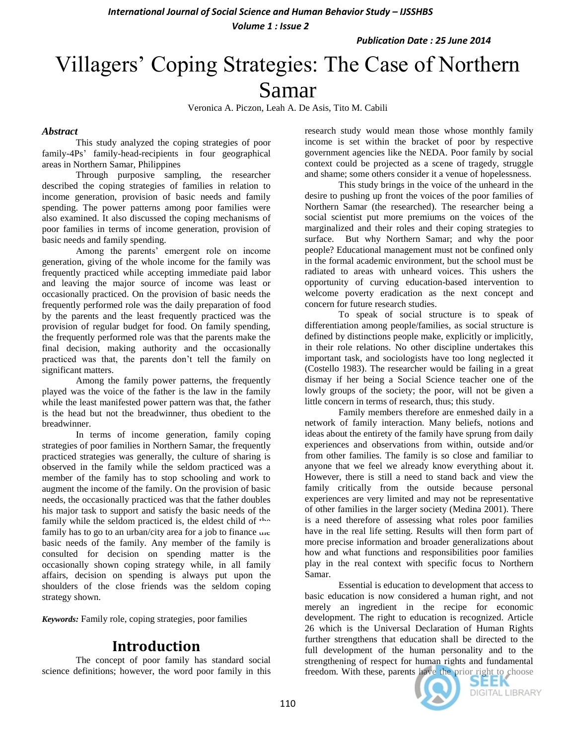*International Journal of Social Science and Human Behavior Study – IJSSHBS* 

*Volume 1 : Issue 2*

*Publication Date : 25 June 2014*

# Villagers' Coping Strategies: The Case of Northern Samar

Veronica A. Piczon, Leah A. De Asis, Tito M. Cabili

### *Abstract*

This study analyzed the coping strategies of poor family-4Ps' family-head-recipients in four geographical areas in Northern Samar, Philippines

Through purposive sampling, the researcher described the coping strategies of families in relation to income generation, provision of basic needs and family spending. The power patterns among poor families were also examined. It also discussed the coping mechanisms of poor families in terms of income generation, provision of basic needs and family spending.

Among the parents' emergent role on income generation, giving of the whole income for the family was frequently practiced while accepting immediate paid labor and leaving the major source of income was least or occasionally practiced. On the provision of basic needs the frequently performed role was the daily preparation of food by the parents and the least frequently practiced was the provision of regular budget for food. On family spending, the frequently performed role was that the parents make the final decision, making authority and the occasionally practiced was that, the parents don't tell the family on significant matters.

Among the family power patterns, the frequently played was the voice of the father is the law in the family while the least manifested power pattern was that, the father is the head but not the breadwinner, thus obedient to the breadwinner.

In terms of income generation, family coping strategies of poor families in Northern Samar, the frequently practiced strategies was generally, the culture of sharing is observed in the family while the seldom practiced was a member of the family has to stop schooling and work to augment the income of the family. On the provision of basic needs, the occasionally practiced was that the father doubles his major task to support and satisfy the basic needs of the family while the seldom practiced is, the eldest child of  $4\pi$ family has to go to an urban/city area for a job to finance une basic needs of the family. Any member of the family is consulted for decision on spending matter is the occasionally shown coping strategy while, in all family affairs, decision on spending is always put upon the shoulders of the close friends was the seldom coping strategy shown.

*Keywords:* Family role, coping strategies, poor families

# **Introduction**

The concept of poor family has standard social science definitions; however, the word poor family in this research study would mean those whose monthly family income is set within the bracket of poor by respective government agencies like the NEDA. Poor family by social context could be projected as a scene of tragedy, struggle and shame; some others consider it a venue of hopelessness.

This study brings in the voice of the unheard in the desire to pushing up front the voices of the poor families of Northern Samar (the researched). The researcher being a social scientist put more premiums on the voices of the marginalized and their roles and their coping strategies to surface. But why Northern Samar; and why the poor people? Educational management must not be confined only in the formal academic environment, but the school must be radiated to areas with unheard voices. This ushers the opportunity of curving education-based intervention to welcome poverty eradication as the next concept and concern for future research studies.

To speak of social structure is to speak of differentiation among people/families, as social structure is defined by distinctions people make, explicitly or implicitly, in their role relations. No other discipline undertakes this important task, and sociologists have too long neglected it (Costello 1983). The researcher would be failing in a great dismay if her being a Social Science teacher one of the lowly groups of the society; the poor, will not be given a little concern in terms of research, thus; this study.

Family members therefore are enmeshed daily in a network of family interaction. Many beliefs, notions and ideas about the entirety of the family have sprung from daily experiences and observations from within, outside and/or from other families. The family is so close and familiar to anyone that we feel we already know everything about it. However, there is still a need to stand back and view the family critically from the outside because personal experiences are very limited and may not be representative of other families in the larger society (Medina 2001). There is a need therefore of assessing what roles poor families have in the real life setting. Results will then form part of more precise information and broader generalizations about how and what functions and responsibilities poor families play in the real context with specific focus to Northern Samar.

Essential is education to development that access to basic education is now considered a human right, and not merely an ingredient in the recipe for economic development. The right to education is recognized. Article 26 which is the Universal Declaration of Human Rights further strengthens that education shall be directed to the full development of the human personality and to the strengthening of respect for human rights and fundamental freedom. With these, parents have the prior right to choose

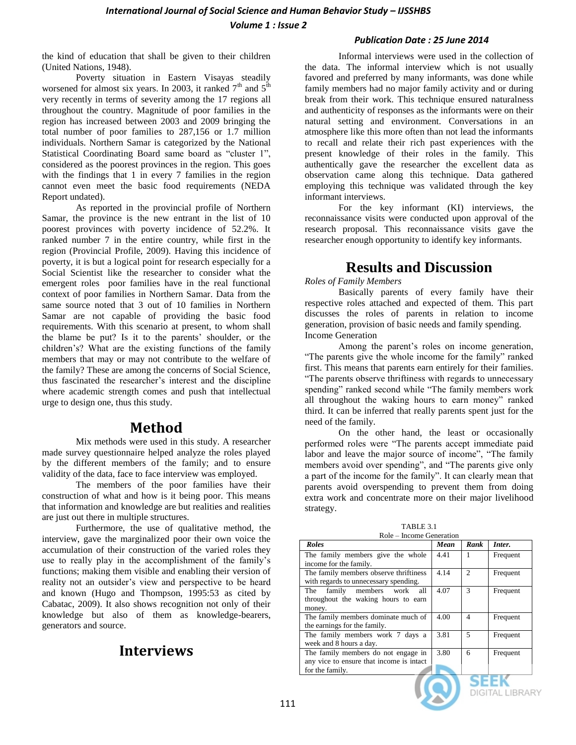*Volume 1 : Issue 2*

### *Publication Date : 25 June 2014*

the kind of education that shall be given to their children (United Nations, 1948).

Poverty situation in Eastern Visayas steadily worsened for almost six years. In 2003, it ranked  $7<sup>th</sup>$  and  $5<sup>th</sup>$ very recently in terms of severity among the 17 regions all throughout the country. Magnitude of poor families in the region has increased between 2003 and 2009 bringing the total number of poor families to 287,156 or 1.7 million individuals. Northern Samar is categorized by the National Statistical Coordinating Board same board as "cluster 1", considered as the poorest provinces in the region. This goes with the findings that 1 in every 7 families in the region cannot even meet the basic food requirements (NEDA Report undated).

As reported in the provincial profile of Northern Samar, the province is the new entrant in the list of 10 poorest provinces with poverty incidence of 52.2%. It ranked number 7 in the entire country, while first in the region (Provincial Profile, 2009). Having this incidence of poverty, it is but a logical point for research especially for a Social Scientist like the researcher to consider what the emergent roles poor families have in the real functional context of poor families in Northern Samar. Data from the same source noted that 3 out of 10 families in Northern Samar are not capable of providing the basic food requirements. With this scenario at present, to whom shall the blame be put? Is it to the parents' shoulder, or the children's? What are the existing functions of the family members that may or may not contribute to the welfare of the family? These are among the concerns of Social Science, thus fascinated the researcher's interest and the discipline where academic strength comes and push that intellectual urge to design one, thus this study.

# **Method**

Mix methods were used in this study. A researcher made survey questionnaire helped analyze the roles played by the different members of the family; and to ensure validity of the data, face to face interview was employed.

The members of the poor families have their construction of what and how is it being poor. This means that information and knowledge are but realities and realities are just out there in multiple structures.

Furthermore, the use of qualitative method, the interview, gave the marginalized poor their own voice the accumulation of their construction of the varied roles they use to really play in the accomplishment of the family's functions; making them visible and enabling their version of reality not an outsider's view and perspective to be heard and known (Hugo and Thompson, 1995:53 as cited by Cabatac, 2009). It also shows recognition not only of their knowledge but also of them as knowledge-bearers, generators and source.

# **Interviews**

Informal interviews were used in the collection of the data. The informal interview which is not usually favored and preferred by many informants, was done while family members had no major family activity and or during break from their work. This technique ensured naturalness and authenticity of responses as the informants were on their natural setting and environment. Conversations in an atmosphere like this more often than not lead the informants to recall and relate their rich past experiences with the present knowledge of their roles in the family. This authentically gave the researcher the excellent data as observation came along this technique. Data gathered employing this technique was validated through the key informant interviews.

For the key informant (KI) interviews, the reconnaissance visits were conducted upon approval of the research proposal. This reconnaissance visits gave the researcher enough opportunity to identify key informants.

# **Results and Discussion**

### *Roles of Family Members*

Basically parents of every family have their respective roles attached and expected of them. This part discusses the roles of parents in relation to income generation, provision of basic needs and family spending. Income Generation

Among the parent's roles on income generation, "The parents give the whole income for the family" ranked first. This means that parents earn entirely for their families. "The parents observe thriftiness with regards to unnecessary spending" ranked second while "The family members work all throughout the waking hours to earn money" ranked third. It can be inferred that really parents spent just for the need of the family.

On the other hand, the least or occasionally performed roles were "The parents accept immediate paid labor and leave the major source of income", "The family members avoid over spending", and "The parents give only a part of the income for the family". It can clearly mean that parents avoid overspending to prevent them from doing extra work and concentrate more on their major livelihood strategy.

TABLE 3.1 Role – Income Generation

| <b>Roles</b>                             | Mean | Rank           | Inter.   |
|------------------------------------------|------|----------------|----------|
| The family members give the whole        | 4.41 |                | Frequent |
| income for the family.                   |      |                |          |
| The family members observe thriftiness   | 4.14 | $\mathfrak{D}$ | Frequent |
| with regards to unnecessary spending.    |      |                |          |
| family members work<br>The<br>all        | 4.07 | 3              | Frequent |
| throughout the waking hours to earn      |      |                |          |
| money.                                   |      |                |          |
| The family members dominate much of      | 4.00 | 4              | Frequent |
| the earnings for the family.             |      |                |          |
| The family members work 7 days a         | 3.81 | 5              | Frequent |
| week and 8 hours a day.                  |      |                |          |
| The family members do not engage in      | 3.80 | 6              | Frequent |
| any vice to ensure that income is intact |      |                |          |
| for the family.                          |      |                |          |
|                                          |      |                |          |

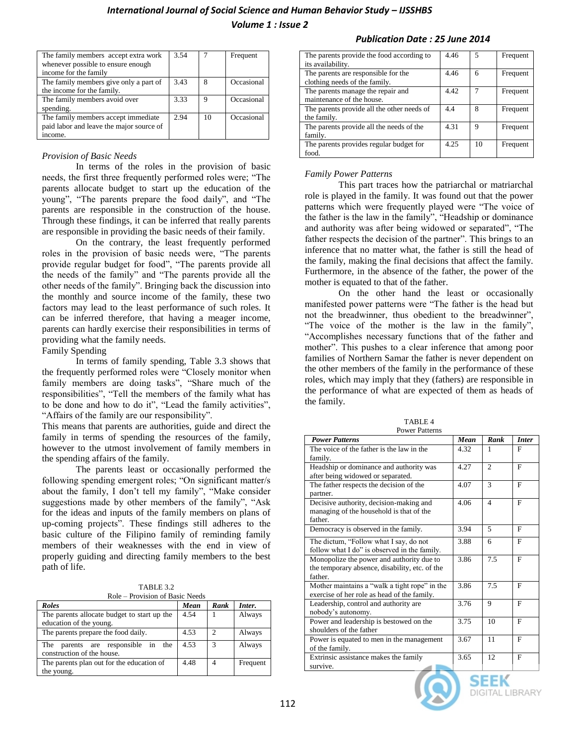| The family members accept extra work     | 3.54 |    | Frequent   |
|------------------------------------------|------|----|------------|
| whenever possible to ensure enough       |      |    |            |
| income for the family                    |      |    |            |
| The family members give only a part of   | 3.43 | 8  | Occasional |
| the income for the family.               |      |    |            |
| The family members avoid over            | 3.33 | 9  | Occasional |
| spending.                                |      |    |            |
| The family members accept immediate      | 2.94 | 10 | Occasional |
| paid labor and leave the major source of |      |    |            |
| income.                                  |      |    |            |

### *Provision of Basic Needs*

In terms of the roles in the provision of basic needs, the first three frequently performed roles were; "The parents allocate budget to start up the education of the young", "The parents prepare the food daily", and "The parents are responsible in the construction of the house. Through these findings, it can be inferred that really parents are responsible in providing the basic needs of their family.

On the contrary, the least frequently performed roles in the provision of basic needs were, "The parents provide regular budget for food", "The parents provide all the needs of the family" and "The parents provide all the other needs of the family". Bringing back the discussion into the monthly and source income of the family, these two factors may lead to the least performance of such roles. It can be inferred therefore, that having a meager income, parents can hardly exercise their responsibilities in terms of providing what the family needs.

#### Family Spending

In terms of family spending, Table 3.3 shows that the frequently performed roles were "Closely monitor when family members are doing tasks", "Share much of the responsibilities", "Tell the members of the family what has to be done and how to do it", "Lead the family activities", "Affairs of the family are our responsibility".

This means that parents are authorities, guide and direct the family in terms of spending the resources of the family, however to the utmost involvement of family members in the spending affairs of the family.

The parents least or occasionally performed the following spending emergent roles; "On significant matter/s about the family, I don't tell my family", "Make consider suggestions made by other members of the family", "Ask for the ideas and inputs of the family members on plans of up-coming projects". These findings still adheres to the basic culture of the Filipino family of reminding family members of their weaknesses with the end in view of properly guiding and directing family members to the best path of life.

TABLE 3.2 Role – Provision of Basic Needs

| <b>Roles</b>                                | Mean | Rank | Inter.   |
|---------------------------------------------|------|------|----------|
| The parents allocate budget to start up the | 4.54 |      | Always   |
| education of the young.                     |      |      |          |
| The parents prepare the food daily.         | 4.53 | ာ    | Always   |
| parents are responsible in the<br>The       | 4.53 | 3    | Always   |
| construction of the house.                  |      |      |          |
| The parents plan out for the education of   | 4.48 |      | Frequent |
| the young.                                  |      |      |          |

#### *Publication Date : 25 June 2014*

| The parents provide the food according to  | 4.46 | 5  | Frequent |
|--------------------------------------------|------|----|----------|
| its availability.                          |      |    |          |
| The parents are responsible for the        | 4.46 | 6  | Frequent |
| clothing needs of the family.              |      |    |          |
| The parents manage the repair and          | 4.42 |    | Frequent |
| maintenance of the house.                  |      |    |          |
| The parents provide all the other needs of | 4.4  | 8  | Frequent |
| the family.                                |      |    |          |
| The parents provide all the needs of the   | 4.31 | 9  | Frequent |
| family.                                    |      |    |          |
| The parents provides regular budget for    | 4.25 | 10 | Frequent |
| food.                                      |      |    |          |

### *Family Power Patterns*

This part traces how the patriarchal or matriarchal role is played in the family. It was found out that the power patterns which were frequently played were "The voice of the father is the law in the family", "Headship or dominance and authority was after being widowed or separated", "The father respects the decision of the partner". This brings to an inference that no matter what, the father is still the head of the family, making the final decisions that affect the family. Furthermore, in the absence of the father, the power of the mother is equated to that of the father.

On the other hand the least or occasionally manifested power patterns were "The father is the head but not the breadwinner, thus obedient to the breadwinner", "The voice of the mother is the law in the family", "Accomplishes necessary functions that of the father and mother". This pushes to a clear inference that among poor families of Northern Samar the father is never dependent on the other members of the family in the performance of these roles, which may imply that they (fathers) are responsible in the performance of what are expected of them as heads of the family.

| <b>Power Patterns</b>                          | Mean | Rank                        | <b>Inter</b> |
|------------------------------------------------|------|-----------------------------|--------------|
| The voice of the father is the law in the      | 4.32 | 1                           | F            |
| family.                                        |      |                             |              |
| Headship or dominance and authority was        | 4.27 | $\mathcal{D}_{\mathcal{L}}$ | F            |
| after being widowed or separated.              |      |                             |              |
| The father respects the decision of the        | 4.07 | $\mathbf{3}$                | $\mathbf{F}$ |
| partner.                                       |      |                             |              |
| Decisive authority, decision-making and        | 4.06 | $\overline{4}$              | F            |
| managing of the household is that of the       |      |                             |              |
| father.                                        |      |                             |              |
| Democracy is observed in the family.           | 3.94 | $\overline{5}$              | F            |
| The dictum, "Follow what I say, do not         | 3.88 | 6                           | F            |
| follow what I do" is observed in the family.   |      |                             |              |
| Monopolize the power and authority due to      | 3.86 | 7.5                         | F            |
| the temporary absence, disability, etc. of the |      |                             |              |
| father.                                        |      |                             |              |
| Mother maintains a "walk a tight rope" in the  | 3.86 | 7.5                         | $\mathbf{F}$ |
| exercise of her role as head of the family.    |      |                             |              |
| Leadership, control and authority are          | 3.76 | 9                           | F            |
| nobody's autonomy.                             |      |                             |              |
| Power and leadership is bestowed on the        | 3.75 | 10                          | $\mathbf{F}$ |
| shoulders of the father                        |      |                             |              |
| Power is equated to men in the management      | 3.67 | 11                          | F            |
| of the family.                                 |      |                             |              |
| Extrinsic assistance makes the family          | 3.65 | 12                          | $\mathbf{F}$ |
| survive.                                       |      |                             |              |
|                                                |      | ----                        |              |





SEEK **DIGITAL LIBRARY**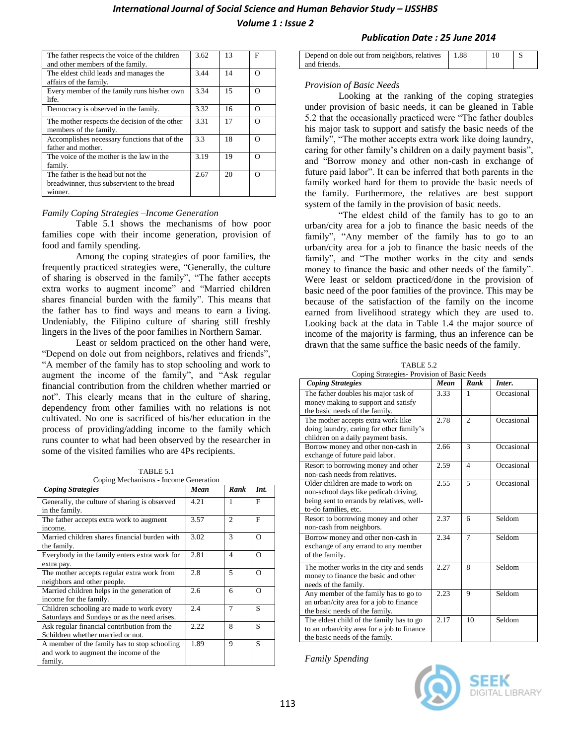# **International Journal of Social Science and Human Behavior Study – IJSSHBS**

*Volume 1 : Issue 2*

| The father respects the voice of the children<br>and other members of the family.           | 3.62 | 13 | F        |
|---------------------------------------------------------------------------------------------|------|----|----------|
| The eldest child leads and manages the<br>affairs of the family.                            | 3.44 | 14 | $\Omega$ |
| Every member of the family runs his/her own<br>life.                                        | 3.34 | 15 | ∩        |
| Democracy is observed in the family.                                                        | 3.32 | 16 | $\Omega$ |
| The mother respects the decision of the other<br>members of the family.                     | 3.31 | 17 | $\Omega$ |
| Accomplishes necessary functions that of the<br>father and mother.                          | 3.3  | 18 | ∩        |
| The voice of the mother is the law in the<br>family.                                        | 3.19 | 19 | ∩        |
| The father is the head but not the<br>breadwinner, thus subservient to the bread<br>winner. | 2.67 | 20 | $\Omega$ |

#### *Family Coping Strategies –Income Generation*

Table 5.1 shows the mechanisms of how poor families cope with their income generation, provision of food and family spending.

Among the coping strategies of poor families, the frequently practiced strategies were, "Generally, the culture of sharing is observed in the family", "The father accepts extra works to augment income" and "Married children shares financial burden with the family". This means that the father has to find ways and means to earn a living. Undeniably, the Filipino culture of sharing still freshly lingers in the lives of the poor families in Northern Samar.

Least or seldom practiced on the other hand were, "Depend on dole out from neighbors, relatives and friends", "A member of the family has to stop schooling and work to augment the income of the family", and "Ask regular financial contribution from the children whether married or not". This clearly means that in the culture of sharing, dependency from other families with no relations is not cultivated. No one is sacrificed of his/her education in the process of providing/adding income to the family which runs counter to what had been observed by the researcher in some of the visited families who are 4Ps recipients.

| TABLE 5.1                   |  |
|-----------------------------|--|
| o Mechanisms - Income Gener |  |

| Coping Mechanisms - Income Generation                                                            |      |                |          |
|--------------------------------------------------------------------------------------------------|------|----------------|----------|
| <b>Coping Strategies</b>                                                                         | Mean | Rank           | Int.     |
| Generally, the culture of sharing is observed<br>in the family.                                  | 4.21 |                | F        |
| The father accepts extra work to augment<br>income.                                              | 3.57 | $\mathcal{D}$  | F        |
| Married children shares financial burden with<br>the family.                                     | 3.02 | $\mathcal{R}$  | $\Omega$ |
| Everybody in the family enters extra work for<br>extra pay.                                      | 2.81 | $\overline{4}$ | $\Omega$ |
| The mother accepts regular extra work from<br>neighbors and other people.                        | 2.8  | 5              | $\Omega$ |
| Married children helps in the generation of<br>income for the family.                            | 2.6  | 6              | $\Omega$ |
| Children schooling are made to work every<br>Saturdays and Sundays or as the need arises.        | 2.4  | 7              | S        |
| Ask regular financial contribution from the<br>Schildren whether married or not.                 | 2.22 | 8              | S        |
| A member of the family has to stop schooling<br>and work to augment the income of the<br>family. | 1.89 | 9              | S        |

| Publication Date : 25 June 2014 |  |  |  |  |
|---------------------------------|--|--|--|--|
|---------------------------------|--|--|--|--|

| Depend on dole out from neighbors, relatives | 1.88 |  |
|----------------------------------------------|------|--|
| and friends.                                 |      |  |

### *Provision of Basic Needs*

Looking at the ranking of the coping strategies under provision of basic needs, it can be gleaned in Table 5.2 that the occasionally practiced were "The father doubles his major task to support and satisfy the basic needs of the family", "The mother accepts extra work like doing laundry, caring for other family's children on a daily payment basis", and "Borrow money and other non-cash in exchange of future paid labor". It can be inferred that both parents in the family worked hard for them to provide the basic needs of the family. Furthermore, the relatives are best support system of the family in the provision of basic needs.

"The eldest child of the family has to go to an urban/city area for a job to finance the basic needs of the family", "Any member of the family has to go to an urban/city area for a job to finance the basic needs of the family", and "The mother works in the city and sends money to finance the basic and other needs of the family". Were least or seldom practiced/done in the provision of basic need of the poor families of the province. This may be because of the satisfaction of the family on the income earned from livelihood strategy which they are used to. Looking back at the data in Table 1.4 the major source of income of the majority is farming, thus an inference can be drawn that the same suffice the basic needs of the family.

TABLE 5.2

| Coping Strategies- Provision of Basic Needs |      |                |            |
|---------------------------------------------|------|----------------|------------|
| <b>Coping Strategies</b>                    | Mean | Rank           | Inter.     |
| The father doubles his major task of        | 3.33 | 1              | Occasional |
| money making to support and satisfy         |      |                |            |
| the basic needs of the family.              |      |                |            |
| The mother accepts extra work like          | 2.78 | $\mathfrak{D}$ | Occasional |
| doing laundry, caring for other family's    |      |                |            |
| children on a daily payment basis.          |      |                |            |
| Borrow money and other non-cash in          | 2.66 | $\mathbf{3}$   | Occasional |
| exchange of future paid labor.              |      |                |            |
| Resort to borrowing money and other         | 2.59 | $\Delta$       | Occasional |
| non-cash needs from relatives.              |      |                |            |
| Older children are made to work on          | 2.55 | $\overline{5}$ | Occasional |
| non-school days like pedicab driving,       |      |                |            |
| being sent to errands by relatives, well-   |      |                |            |
| to-do families, etc.                        |      |                |            |
| Resort to borrowing money and other         | 2.37 | 6              | Seldom     |
| non-cash from neighbors.                    |      |                |            |
| Borrow money and other non-cash in          | 2.34 | $\overline{7}$ | Seldom     |
| exchange of any errand to any member        |      |                |            |
| of the family.                              |      |                |            |
| The mother works in the city and sends      | 2.27 | 8              | Seldom     |
| money to finance the basic and other        |      |                |            |
| needs of the family.                        |      |                |            |
| Any member of the family has to go to       | 2.23 | 9              | Seldom     |
| an urban/city area for a job to finance     |      |                |            |
| the basic needs of the family.              |      |                |            |
| The eldest child of the family has to go    | 2.17 | 10             | Seldom     |
| to an urban/city area for a job to finance  |      |                |            |
| the basic needs of the family.              |      |                |            |

*Family Spending*